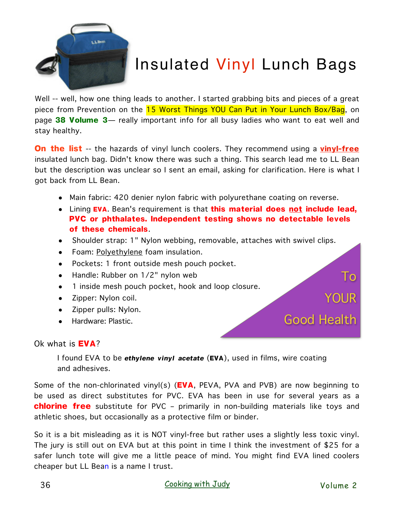

## Insulated Vinyl Lunch Bags

Well -- well, how one thing leads to another. I started grabbing bits and pieces of a great piece from Prevention on the 15 Worst Things YOU Can Put in Your Lunch Box/Bag, on page **38 Volume 3**— really important info for all busy ladies who want to eat well and stay healthy.

**On the list** -- the hazards of vinyl lunch coolers. They recommend using a vinyl-free insulated lunch bag. Didn't know there was such a thing. This search lead me to LL Bean but the description was unclear so I sent an email, asking for clarification. Here is what I got back from LL Bean.

- Main fabric: 420 denier nylon fabric with polyurethane coating on reverse.
- Lining **EVA**. Bean's requirement is that **this material does not include lead, PVC or phthalates. Independent testing shows no detectable levels of these chemicals**.
- Shoulder strap: 1" Nylon webbing, removable, attaches with swivel clips.
- Foam: Polyethylene foam insulation.
- Pockets: 1 front outside mesh pouch pocket.
- Handle: Rubber on 1/2" nylon web
- 1 inside mesh pouch pocket, hook and loop closure.
- Zipper: Nylon coil.
- Zipper pulls: Nylon.
- Hardware: Plastic.

## Ok what is **EVA**?

I found EVA to be *ethylene vinyl acetate* (**EVA**), used in films, wire coating and adhesives.

Some of the non-chlorinated vinyl(s) (**EVA**, PEVA, PVA and PVB) are now beginning to be used as direct substitutes for PVC. EVA has been in use for several years as a **chlorine free** substitute for PVC – primarily in non-building materials like toys and athletic shoes, but occasionally as a protective film or binder.

So it is a bit misleading as it is NOT vinyl-free but rather uses a slightly less toxic vinyl. The jury is still out on EVA but at this point in time I think the investment of \$25 for a safer lunch tote will give me a little peace of mind. You might find EVA lined coolers cheaper but LL Bean is a name I trust.

To

**YOUR** 

Good Health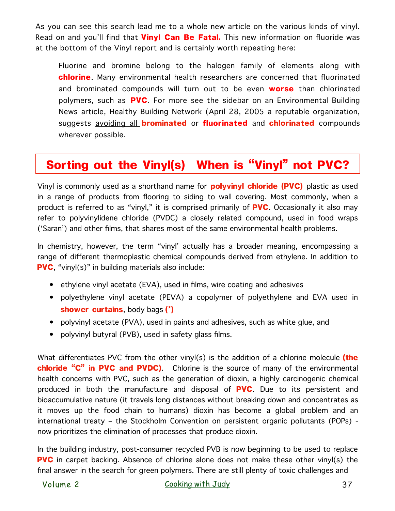As you can see this search lead me to a whole new article on the various kinds of vinyl. Read on and you'll find that **Vinyl Can Be Fatal.** This new information on fluoride was at the bottom of the Vinyl report and is certainly worth repeating here:

Fluorine and bromine belong to the halogen family of elements along with **chlorine**. Many environmental health researchers are concerned that fluorinated and brominated compounds will turn out to be even **worse** than chlorinated polymers, such as **PVC**. For more see the sidebar on an Environmental Building News article, Healthy Building Network (April 28, 2005 a reputable organization, suggests avoiding all **brominated** or **fluorinated** and **chlorinated** compounds wherever possible.

## Sorting out the Vinyl(s) When is "Vinyl" not PVC?

Vinyl is commonly used as a shorthand name for **polyvinyl chloride (PVC)** plastic as used in a range of products from flooring to siding to wall covering. Most commonly, when a product is referred to as "vinyl," it is comprised primarily of **PVC**. Occasionally it also may refer to polyvinylidene chloride (PVDC) a closely related compound, used in food wraps ('Saran') and other films, that shares most of the same environmental health problems.

In chemistry, however, the term "vinyl' actually has a broader meaning, encompassing a range of different thermoplastic chemical compounds derived from ethylene. In addition to **PVC**, "vinyl(s)" in building materials also include:

- ethylene vinyl acetate (EVA), used in films, wire coating and adhesives
- polyethylene vinyl acetate (PEVA) a copolymer of polyethylene and EVA used in **shower curtains**, body bags **(\*)**
- polyvinyl acetate (PVA), used in paints and adhesives, such as white glue, and
- polyvinyl butyral (PVB), used in safety glass films.

What differentiates PVC from the other vinyl(s) is the addition of a chlorine molecule **(the chloride "C" in PVC and PVDC)**. Chlorine is the source of many of the environmental health concerns with PVC, such as the generation of dioxin, a highly carcinogenic chemical produced in both the manufacture and disposal of **PVC**. Due to its persistent and bioaccumulative nature (it travels long distances without breaking down and concentrates as it moves up the food chain to humans) dioxin has become a global problem and an international treaty – the Stockholm Convention on persistent organic pollutants (POPs) now prioritizes the elimination of processes that produce dioxin.

In the building industry, post-consumer recycled PVB is now beginning to be used to replace **PVC** in carpet backing. Absence of chlorine alone does not make these other vinyl(s) the final answer in the search for green polymers. There are still plenty of toxic challenges and